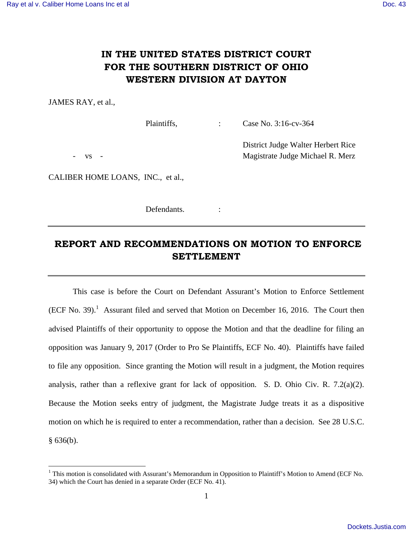## **IN THE UNITED STATES DISTRICT COURT FOR THE SOUTHERN DISTRICT OF OHIO WESTERN DIVISION AT DAYTON**

JAMES RAY, et al.,

Plaintiffs. : Case No. 3:16-cv-364

District Judge Walter Herbert Rice

vs - Wagistrate Judge Michael R. Merz

<u>.</u>

CALIBER HOME LOANS, INC., et al.,

Defendants. :

## **REPORT AND RECOMMENDATIONS ON MOTION TO ENFORCE SETTLEMENT**

 This case is before the Court on Defendant Assurant's Motion to Enforce Settlement  $(ECF No. 39).$ <sup>1</sup> Assurant filed and served that Motion on December 16, 2016. The Court then advised Plaintiffs of their opportunity to oppose the Motion and that the deadline for filing an opposition was January 9, 2017 (Order to Pro Se Plaintiffs, ECF No. 40). Plaintiffs have failed to file any opposition. Since granting the Motion will result in a judgment, the Motion requires analysis, rather than a reflexive grant for lack of opposition. S. D. Ohio Civ. R. 7.2(a)(2). Because the Motion seeks entry of judgment, the Magistrate Judge treats it as a dispositive motion on which he is required to enter a recommendation, rather than a decision. See 28 U.S.C.  $§ 636(b).$ 

<sup>&</sup>lt;sup>1</sup> This motion is consolidated with Assurant's Memorandum in Opposition to Plaintiff's Motion to Amend (ECF No. 34) which the Court has denied in a separate Order (ECF No. 41).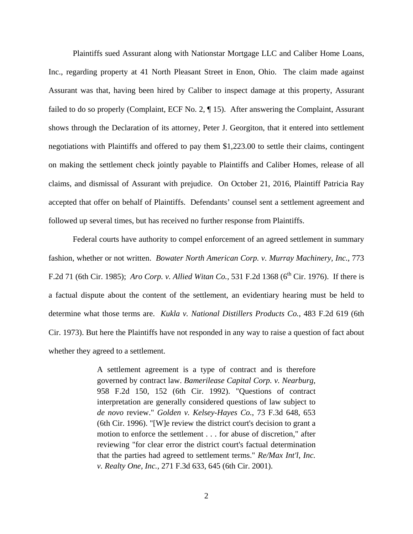Plaintiffs sued Assurant along with Nationstar Mortgage LLC and Caliber Home Loans, Inc., regarding property at 41 North Pleasant Street in Enon, Ohio. The claim made against Assurant was that, having been hired by Caliber to inspect damage at this property, Assurant failed to do so properly (Complaint, ECF No. 2, ¶ 15). After answering the Complaint, Assurant shows through the Declaration of its attorney, Peter J. Georgiton, that it entered into settlement negotiations with Plaintiffs and offered to pay them \$1,223.00 to settle their claims, contingent on making the settlement check jointly payable to Plaintiffs and Caliber Homes, release of all claims, and dismissal of Assurant with prejudice. On October 21, 2016, Plaintiff Patricia Ray accepted that offer on behalf of Plaintiffs. Defendants' counsel sent a settlement agreement and followed up several times, but has received no further response from Plaintiffs.

Federal courts have authority to compel enforcement of an agreed settlement in summary fashion, whether or not written. *Bowater North American Corp. v. Murray Machinery, Inc.*, 773 F.2d 71 (6th Cir. 1985); *Aro Corp. v. Allied Witan Co.*, 531 F.2d 1368 (6<sup>th</sup> Cir. 1976). If there is a factual dispute about the content of the settlement, an evidentiary hearing must be held to determine what those terms are. *Kukla v. National Distillers Products Co.*, 483 F.2d 619 (6th Cir. 1973). But here the Plaintiffs have not responded in any way to raise a question of fact about whether they agreed to a settlement.

> A settlement agreement is a type of contract and is therefore governed by contract law. *Bamerilease Capital Corp. v. Nearburg*, 958 F.2d 150, 152 (6th Cir. 1992). "Questions of contract interpretation are generally considered questions of law subject to *de novo* review." *Golden v. Kelsey-Hayes Co.*, 73 F.3d 648, 653 (6th Cir. 1996). "[W]e review the district court's decision to grant a motion to enforce the settlement . . . for abuse of discretion," after reviewing "for clear error the district court's factual determination that the parties had agreed to settlement terms." *Re/Max Int'l, Inc. v. Realty One, Inc.,* 271 F.3d 633, 645 (6th Cir. 2001).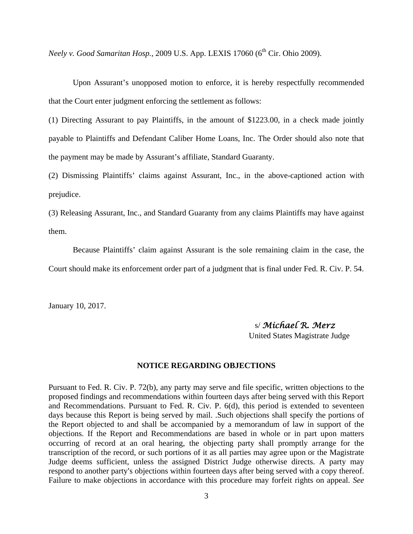*Neely v. Good Samaritan Hosp.*, 2009 U.S. App. LEXIS 17060 (6<sup>th</sup> Cir. Ohio 2009).

 Upon Assurant's unopposed motion to enforce, it is hereby respectfully recommended that the Court enter judgment enforcing the settlement as follows:

(1) Directing Assurant to pay Plaintiffs, in the amount of \$1223.00, in a check made jointly payable to Plaintiffs and Defendant Caliber Home Loans, Inc. The Order should also note that the payment may be made by Assurant's affiliate, Standard Guaranty.

(2) Dismissing Plaintiffs' claims against Assurant, Inc., in the above-captioned action with prejudice.

(3) Releasing Assurant, Inc., and Standard Guaranty from any claims Plaintiffs may have against them.

 Because Plaintiffs' claim against Assurant is the sole remaining claim in the case, the Court should make its enforcement order part of a judgment that is final under Fed. R. Civ. P. 54.

January 10, 2017.

 s/ *Michael R. Merz* United States Magistrate Judge

## **NOTICE REGARDING OBJECTIONS**

Pursuant to Fed. R. Civ. P. 72(b), any party may serve and file specific, written objections to the proposed findings and recommendations within fourteen days after being served with this Report and Recommendations. Pursuant to Fed. R. Civ. P. 6(d), this period is extended to seventeen days because this Report is being served by mail. .Such objections shall specify the portions of the Report objected to and shall be accompanied by a memorandum of law in support of the objections. If the Report and Recommendations are based in whole or in part upon matters occurring of record at an oral hearing, the objecting party shall promptly arrange for the transcription of the record, or such portions of it as all parties may agree upon or the Magistrate Judge deems sufficient, unless the assigned District Judge otherwise directs. A party may respond to another party's objections within fourteen days after being served with a copy thereof. Failure to make objections in accordance with this procedure may forfeit rights on appeal. *See*